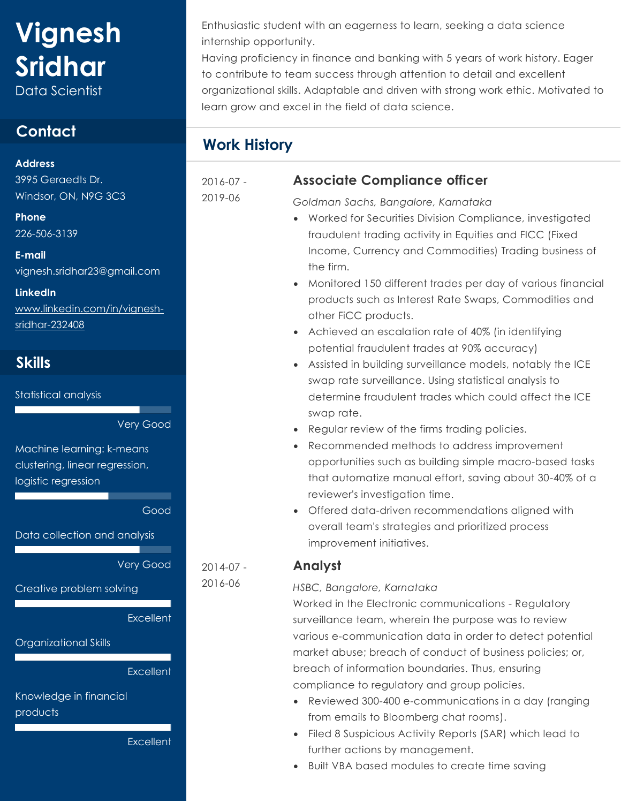# **Vignesh Sridhar**

Data Scientist

## **Contact**

**Address**  3995 Geraedts Dr.

Windsor, ON, N9G 3C3

**Phone**  226-506-3139

**E-mail**  vignesh.sridhar23@gmail.com

**LinkedIn** [www.linkedin.com/in/vignesh](www.linkedin.com/in/vignesh-sridhar-232408)[sridhar-232408](www.linkedin.com/in/vignesh-sridhar-232408)

## **Skills**

Statistical analysis

Very Good

Machine learning: k-means clustering, linear regression, logistic regression

Good

Data collection and analysis

Very Good

Creative problem solving

**Excellent** 

Organizational Skills

**Excellent** 

Knowledge in financial

products

**Excellent** 

Enthusiastic student with an eagerness to learn, seeking a data science internship opportunity.

Having proficiency in finance and banking with 5 years of work history. Eager to contribute to team success through attention to detail and excellent organizational skills. Adaptable and driven with strong work ethic. Motivated to learn grow and excel in the field of data science.

## **Work History**

2016-07 -

2019-06

2014-07 - 2016-06

### **Associate Compliance officer**

*Goldman Sachs, Bangalore, Karnataka*

- Worked for Securities Division Compliance, investigated fraudulent trading activity in Equities and FICC (Fixed Income, Currency and Commodities) Trading business of the firm.
- Monitored 150 different trades per day of various financial products such as Interest Rate Swaps, Commodities and other FiCC products.
- Achieved an escalation rate of 40% (in identifying potential fraudulent trades at 90% accuracy)
- Assisted in building surveillance models, notably the ICE swap rate surveillance. Using statistical analysis to determine fraudulent trades which could affect the ICE swap rate.
- Regular review of the firms trading policies.
- Recommended methods to address improvement opportunities such as building simple macro-based tasks that automatize manual effort, saving about 30-40% of a reviewer's investigation time.
- Offered data-driven recommendations aligned with overall team's strategies and prioritized process improvement initiatives.

#### **Analyst**

#### *HSBC, Bangalore, Karnataka*

Worked in the Electronic communications - Regulatory surveillance team, wherein the purpose was to review various e-communication data in order to detect potential market abuse; breach of conduct of business policies; or, breach of information boundaries. Thus, ensuring compliance to regulatory and group policies.

- Reviewed 300-400 e-communications in a day (ranging from emails to Bloomberg chat rooms).
- Filed 8 Suspicious Activity Reports (SAR) which lead to further actions by management.
- Built VBA based modules to create time saving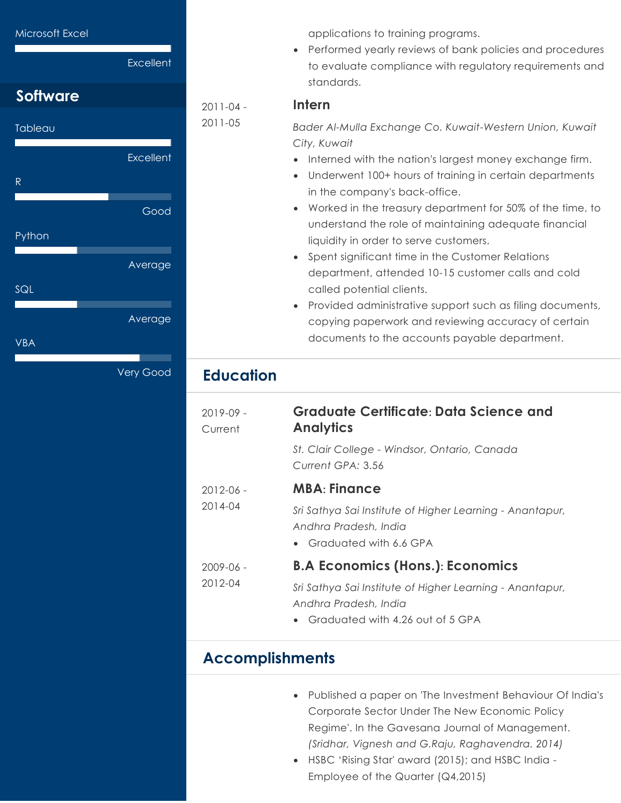

applications to training programs.

• Performed yearly reviews of bank policies and procedures to evaluate compliance with regulatory requirements and standards.

#### **Intern**

*Bader Al-Mulla Exchange Co. Kuwait-Western Union, Kuwait City, Kuwait*

- Interned with the nation's largest money exchange firm.
- Underwent 100+ hours of training in certain departments in the company's back-office.
- Worked in the treasury department for 50% of the time, to understand the role of maintaining adequate financial liquidity in order to serve customers.
- Spent significant time in the Customer Relations department, attended 10-15 customer calls and cold called potential clients.
- Provided administrative support such as filing documents, copying paperwork and reviewing accuracy of certain documents to the accounts payable department.

## **Education**

2011-04 - 2011-05

| $2019-09 -$<br>Current | <b>Graduate Certificate: Data Science and</b><br><b>Analytics</b>                                                                  |
|------------------------|------------------------------------------------------------------------------------------------------------------------------------|
|                        | St. Clair College - Windsor, Ontario, Canada<br>Current GPA: 3.56                                                                  |
| $2012 - 06 -$          | <b>MBA: Finance</b>                                                                                                                |
| 2014-04                | Sri Sathya Sai Institute of Higher Learning - Anantapur,<br>Andhra Pradesh, India<br>• Graduated with 6.6 GPA                      |
| $2009 - 06 -$          | <b>B.A Economics (Hons.): Economics</b>                                                                                            |
| 2012-04                | Sri Sathya Sai Institute of Higher Learning - Anantapur,<br>Andhra Pradesh, India<br>Graduated with 4.26 out of 5 GPA<br>$\bullet$ |

## **Accomplishments**

- Published a paper on 'The Investment Behaviour Of India's Corporate Sector Under The New Economic Policy Regime'. In the Gavesana Journal of Management. *(Sridhar, Vignesh and G.Raju, Raghavendra. 2014)*
- HSBC 'Rising Star' award (2015); and HSBC India Employee of the Quarter (Q4,2015)